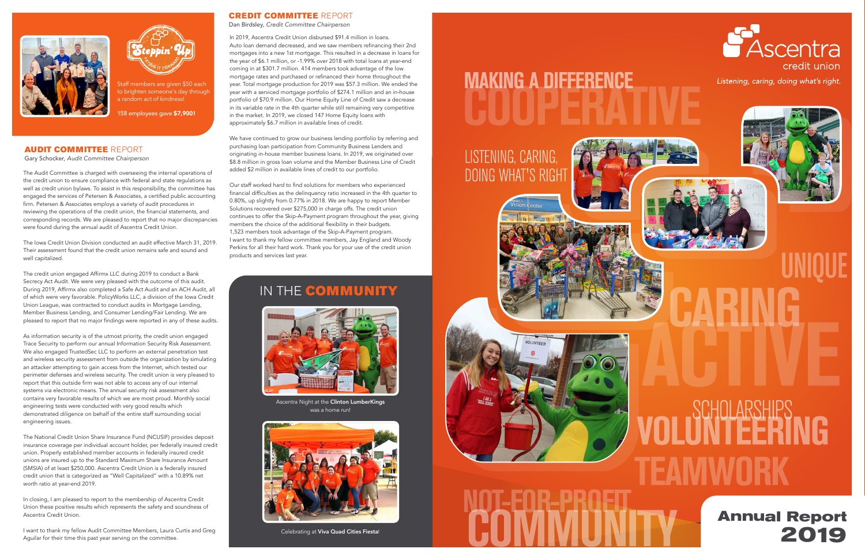



taff members are given \$50 each to brighten someone's day through a random act of kindness!

158 employees gave \$7,900!

In 2019, Ascentra Credit Union disbursed \$91.4 million in loans. Auto loan demand decreased, and we saw members refinancing their 2nd mortgages into a new 1st mortgage. This resulted in a decrease in loans for the year of \$6.1 million, or -1.99% over 2018 with total loans at year-end coming in at \$301.7 million. 414 members took advantage of the low mortgage rates and purchased or refinanced their home throughout the year. Total mortgage production for 2019 was \$57.3 million. We ended the year with a serviced mortgage portfolio of \$274.1 million and an in-house portfolio of \$70.9 million. Our Home Equity Line of Credit saw a decrease in its variable rate in the 4th quarter while still remaining very competitive in the market. In 2019, we closed 147 Home Equity loans with approximately \$6.7 million in available lines of credit.

We have continued to grow our business lending portfolio by referring and purchasing loan participation from Community Business Lenders and originating in-house member business loans. In 2019, we originated over \$8.8 million in gross loan volume and the Member Business Line of Credit added \$2 million in available lines of credit to our portfolio.

Our staff worked hard to find solutions for members who experienced financial difficulties as the delinquency ratio increased in the 4th quarter to 0.80%, up slightly from 0.77% in 2018. We are happy to report Member Solutions recovered over \$275,000 in charge offs. The credit union continues to offer the Skip-A-Payment program throughout the year, giving members the choice of the additional flexibility in their budgets. 1,523 members took advantage of the Skip-A-Payment program. I want to thank my fellow committee members, Jay England and Woody Perkins for all their hard work. Thank you for your use of the credit union products and services last year.

## IN THE **COMMUNITY**

## CREDIT COMMITTEE REPORT

Dan Birdsley, *Credit Committee Chairperson*

The Audit Committee is charged with overseeing the internal operations of the credit union to ensure compliance with federal and state regulations as well as credit union bylaws. To assist in this responsibility, the committee has engaged the services of Petersen & Associates, a certified public accounting firm. Petersen & Associates employs a variety of audit procedures in reviewing the operations of the credit union, the financial statements, and corresponding records. We are pleased to report that no major discrepancies were found during the annual audit of Ascentra Credit Union.



Ascentra Night at the Clinton LumberKings was a home run!



Celebrating at **Viva Quad Cities Fiesta**!

# **MAKING A DIFFERENCE**

# LISTENING, CARING **DOING WHAT'S RIGHT**









Listening, caring, doing what's right.



The Iowa Credit Union Division conducted an audit effective March 31, 2019. Their assessment found that the credit union remains safe and sound and well capitalized.

The credit union engaged Affirmx LLC during 2019 to conduct a Bank Secrecy Act Audit. We were very pleased with the outcome of this audit. During 2019, Affirmx also completed a Safe Act Audit and an ACH Audit, all of which were very favorable. PolicyWorks LLC, a division of the Iowa Credit Union League, was contracted to conduct audits in Mortgage Lending, Member Business Lending, and Consumer Lending/Fair Lending. We are pleased to report that no major findings were reported in any of these audits.

As information security is of the utmost priority, the credit union engaged Trace Security to perform our annual Information Security Risk Assessment. We also engaged TrustedSec LLC to perform an external penetration test and wireless security assessment from outside the organization by simulating an attacker attempting to gain access from the Internet, which tested our perimeter defenses and wireless security. The credit union is very pleased to report that this outside firm was not able to access any of our internal systems via electronic means. The annual security risk assessment also contains very favorable results of which we are most proud. Monthly social engineering tests were conducted with very good results which demonstrated diligence on behalf of the entire staff surrounding social engineering issues.

The National Credit Union Share Insurance Fund (NCUSIF) provides deposit insurance coverage per individual account holder, per federally insured credit union. Properly established member accounts in federally insured credit unions are insured up to the Standard Maximum Share Insurance Amount (SMSIA) of at least \$250,000. Ascentra Credit Union is a federally insured credit union that is categorized as "Well Capitalized" with a 10.89% net worth ratio at year-end 2019.

In closing, I am pleased to report to the membership of Ascentra Credit Union these positive results which represents the safety and soundness of Ascentra Credit Union.

I want to thank my fellow Audit Committee Members, Laura Curtis and Greg Aguilar for their time this past year serving on the committee.

## AUDIT COMMITTEE REPORT

Gary Schocker, *Audit Committee Chairperson*